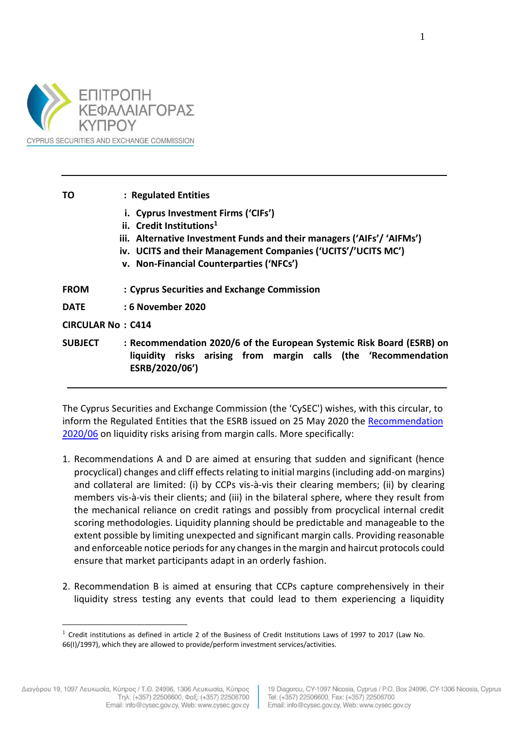

| ΤO                       | : Regulated Entities                                                                                                                                                                                                                                               |
|--------------------------|--------------------------------------------------------------------------------------------------------------------------------------------------------------------------------------------------------------------------------------------------------------------|
|                          | i. Cyprus Investment Firms ('CIFs')<br>ii. Credit Institutions <sup>1</sup><br>iii. Alternative Investment Funds and their managers ('AIFs'/ 'AIFMs')<br>iv. UCITS and their Management Companies ('UCITS'/'UCITS MC')<br>v. Non-Financial Counterparties ('NFCs') |
| <b>FROM</b>              | : Cyprus Securities and Exchange Commission                                                                                                                                                                                                                        |
| <b>DATE</b>              | : 6 November 2020                                                                                                                                                                                                                                                  |
| <b>CIRCULAR No: C414</b> |                                                                                                                                                                                                                                                                    |
| <b>SUBJECT</b>           | : Recommendation 2020/6 of the European Systemic Risk Board (ESRB) on<br>liquidity risks arising from margin calls (the 'Recommendation<br>ESRB/2020/06')                                                                                                          |

The Cyprus Securities and Exchange Commission (the 'CySEC') wishes, with this circular, to inform the Regulated Entities that the ESRB issued on 25 May 2020 the [Recommendation](https://www.esrb.europa.eu/pub/pdf/recommendations/esrb.recommendation200608_on_liquidity_risks_arising_from_margin_calls~41c70f16b2.en.pdf)  [2020/06](https://www.esrb.europa.eu/pub/pdf/recommendations/esrb.recommendation200608_on_liquidity_risks_arising_from_margin_calls~41c70f16b2.en.pdf) on liquidity risks arising from margin calls. More specifically:

- 1. Recommendations A and D are aimed at ensuring that sudden and significant (hence procyclical) changes and cliff effects relating to initial margins (including add-on margins) and collateral are limited: (i) by CCPs vis-à-vis their clearing members; (ii) by clearing members vis-à-vis their clients; and (iii) in the bilateral sphere, where they result from the mechanical reliance on credit ratings and possibly from procyclical internal credit scoring methodologies. Liquidity planning should be predictable and manageable to the extent possible by limiting unexpected and significant margin calls. Providing reasonable and enforceable notice periods for any changes in the margin and haircut protocols could ensure that market participants adapt in an orderly fashion.
- 2. Recommendation B is aimed at ensuring that CCPs capture comprehensively in their liquidity stress testing any events that could lead to them experiencing a liquidity

 $1$  Credit institutions as defined in article 2 of the Business of Credit Institutions Laws of 1997 to 2017 (Law No. 66(I)/1997), which they are allowed to provide/perform investment services/activities.